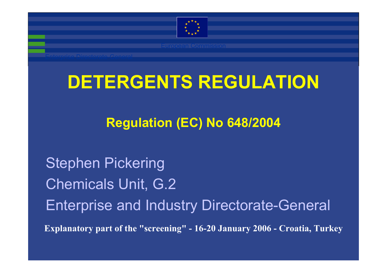

# **DETERGENTS REGULATION**

#### **Regulation (EC) No 648/2004**

**Explanatory part of the "screening" - 16-20 January 2006 - Croatia, Turkey** Stephen Pickering Chemicals Unit, G.2 Enterprise and Industry Directorate-General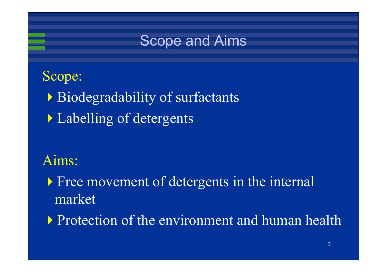

#### Scope:

- Biodegradability of surfactants
- **Labelling of detergents**

#### Aims:

**Free movement of detergents in the internal** market

**Protection of the environment and human health**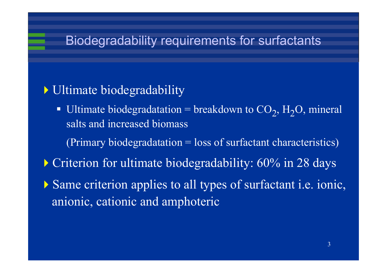#### Biodegradability requirements for surfactants

#### Ultimate biodegradability

- Ultimate biodegradatation = breakdown to  $CO_2$ , H<sub>2</sub>O, mineral salts and increased biomass
	- (Primary biodegradatation = loss of surfactant characteristics)
- Criterion for ultimate biodegradability: 60% in 28 days
- Same criterion applies to all types of surfactant i.e. ionic, anionic, cationic and amphoteric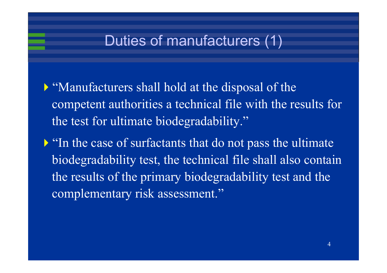### Duties of manufacturers (1)

- "Manufacturers shall hold at the disposal of the competent authorities a technical file with the results for the test for ultimate biodegradability."
- "In the case of surfactants that do not pass the ultimate" biodegradability test, the technical file shall also contain the results of the primary biodegradability test and the complementary risk assessment."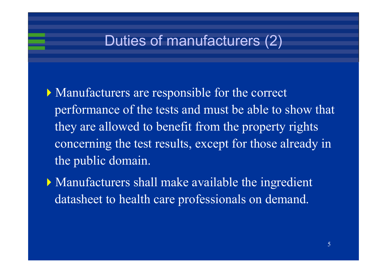### Duties of manufacturers (2)

- Manufacturers are responsible for the correct performance of the tests and must be able to show that they are allowed to benefit from the property rights concerning the test results, except for those already in the public domain.
- Manufacturers shall make available the ingredient datasheet to health care professionals on demand.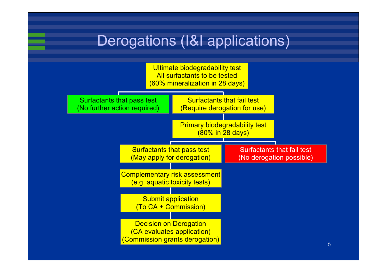### Derogations (I&I applications)

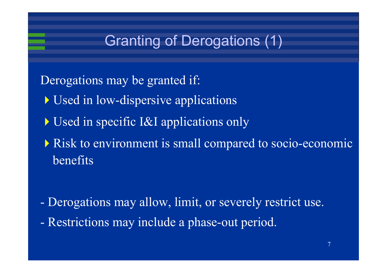## Granting of Derogations (1)

- Derogations may be granted if:
	- Used in low-dispersive applications
	- Used in specific I&I applications only
	- Risk to environment is small compared to socio-economic benefits

- Derogations may allow, limit, or severely restrict use.
- Restrictions may include a phase-out period.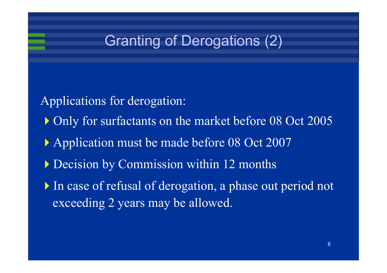### Granting of Derogations (2)

- Applications for derogation:
	- Only for surfactants on the market before 08 Oct 2005
	- Application must be made before 08 Oct 2007
	- Decision by Commission within 12 months
	- In case of refusal of derogation, a phase out period not exceeding 2 years may be allowed.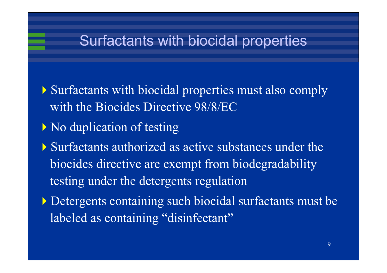#### Surfactants with biocidal properties

- Surfactants with biocidal properties must also comply with the Biocides Directive 98/8/EC
- No duplication of testing
- Surfactants authorized as active substances under the biocides directive are exempt from biodegradability testing under the detergents regulation
- Detergents containing such biocidal surfactants must be labeled as containing "disinfectant"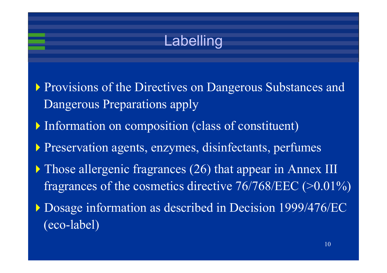### Labelling

- Provisions of the Directives on Dangerous Substances and Dangerous Preparations apply
- Information on composition (class of constituent)
- Preservation agents, enzymes, disinfectants, perfumes
- Those allergenic fragrances (26) that appear in Annex III fragrances of the cosmetics directive 76/768/EEC (>0.01%)
- Dosage information as described in Decision 1999/476/EC (eco-label)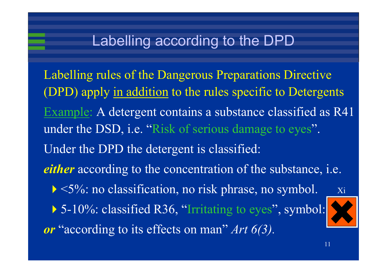### Labelling according to the DPD

Labelling rules of the Dangerous Preparations Directive (DPD) apply in addition to the rules specific to Detergents Example: A detergent contains a substance classified as R4 under the DSD, i.e. "Risk of serious damage to eyes". Under the DPD the detergent is classified: *either* according to the concentration of the substance, i.e.  $\triangleright$  <5%: no classification, no risk phrase, no symbol. Xi ▶ 5-10%: classified R36, "Irritating to eyes", symbol: *or* "according to its effects on man" *Art 6(3).*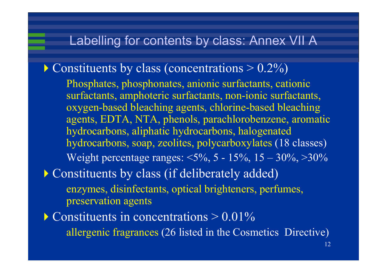#### Labelling for contents by class: Annex VII A

- $\triangleright$  Constituents by class (concentrations  $> 0.2\%$ ) Phosphates, phosphonates, anionic surfactants, cationic surfactants, amphoteric surfactants, non-ionic surfactants, oxygen-based bleaching agents, chlorine-based bleaching agents, EDTA, NTA, phenols, parachlorobenzene, aromatic hydrocarbons, aliphatic hydrocarbons, halogenated hydrocarbons, soap, zeolites, polycarboxylates (18 classes) Weight percentage ranges:  $\langle 5\%, 5 - 15\%, 15 - 30\%, \rangle$
- **Constituents by class (if deliberately added)** enzymes, disinfectants, optical brighteners, perfumes, preservation agents
- $\blacktriangleright$  Constituents in concentrations  $> 0.01\%$ allergenic fragrances (26 listed in the Cosmetics Directive)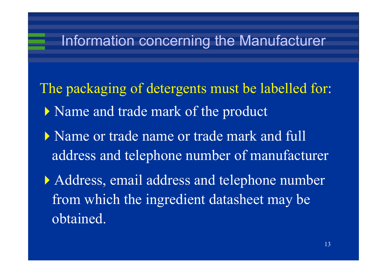#### Information concerning the Manufacturer

- The packaging of detergents must be labelled for: Name and trade mark of the product
	- Name or trade name or trade mark and full address and telephone number of manufacturer
	- Address, email address and telephone number from which the ingredient datasheet may be obtained.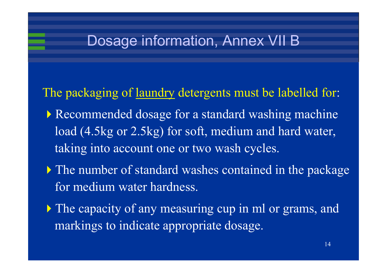#### Dosage information, Annex VII B

- The packaging of laundry detergents must be labelled for:
	- Recommended dosage for a standard washing machine load (4.5kg or 2.5kg) for soft, medium and hard water, taking into account one or two wash cycles.
	- The number of standard washes contained in the package for medium water hardness.
	- If The capacity of any measuring cup in ml or grams, and markings to indicate appropriate dosage.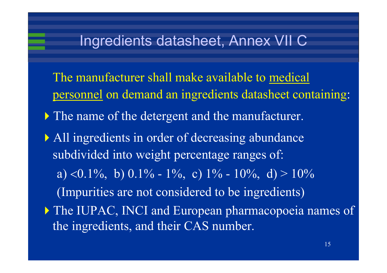#### Ingredients datasheet, Annex VII C

- The manufacturer shall make available to medical personnel on demand an ingredients datasheet containing:
- The name of the detergent and the manufacturer.
- All ingredients in order of decreasing abundance subdivided into weight percentage ranges of: a) <0.1%, b) 0.1% - 1%, c) 1% - 10%, d) > 10% (Impurities are not considered to be ingredients)  $\triangleright$  The IUPAC, INCI and European pharmacopoeia names of the ingredients, and their CAS number.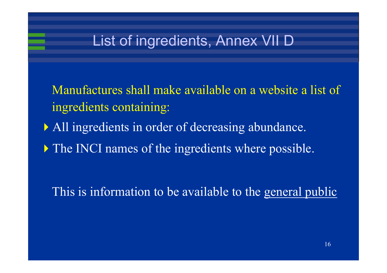### List of ingredients, Annex VII D

- Manufactures shall make available on a website a list of ingredients containing:
- All ingredients in order of decreasing abundance.
- The INCI names of the ingredients where possible.

This is information to be available to the general public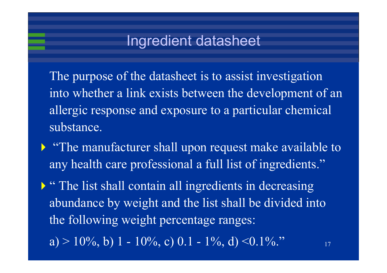#### Ingredient datasheet

The purpose of the datasheet is to assist investigation into whether a link exists between the development of an allergic response and exposure to a particular chemical substance.

- "The manufacturer shall upon request make available to any health care professional a full list of ingredients."
	- $\triangleright$  "The list shall contain all ingredients in decreasing abundance by weight and the list shall be divided into the following weight percentage ranges:
		- a) > 10\%, b) 1 10\%, c) 0.1 1\%, d) <0.1\%."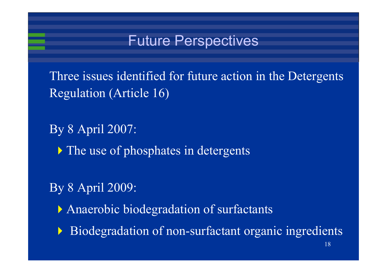#### Future Perspectives

Three issues identified for future action in the Detergents Regulation (Article 16)

By 8 April 2007:

• The use of phosphates in detergents

By 8 April 2009:

Anaerobic biodegradation of surfactants

 $\blacktriangleright$ Biodegradation of non-surfactant organic ingredients